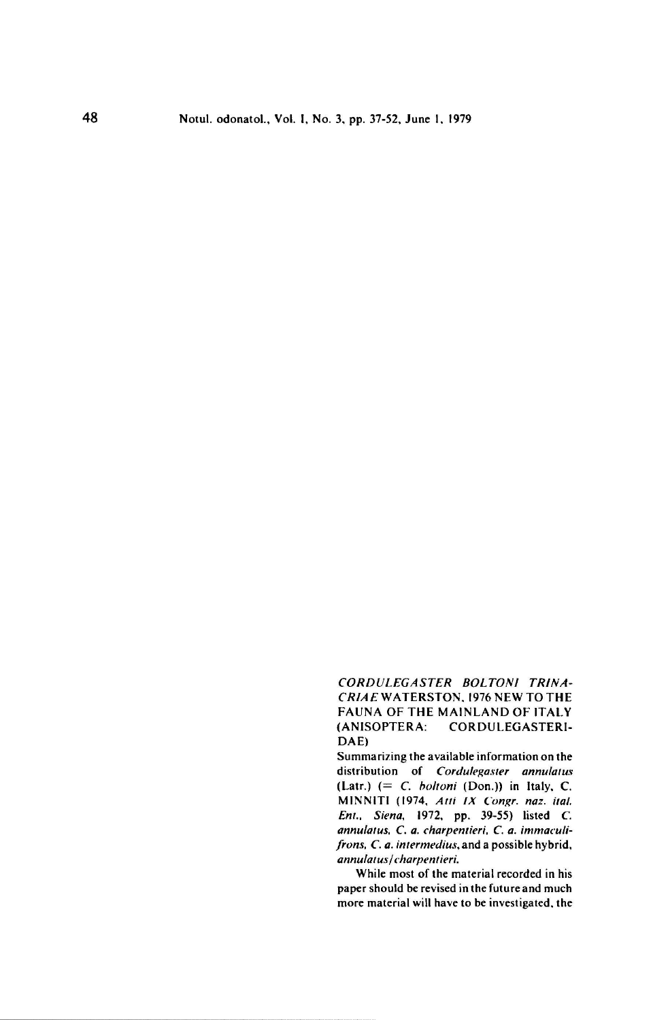CORDULEGASTEI criae Waterston, <sup>1976</sup> new to the *CORDULEGASTER BOLTONI TRINA-<br>CRIAE* WATERSTON, 1976 NEW TO THE<br>FAUNA OF THE MAINLAND OF ITALY<br>(ANISOPTERA: CORDULEGASTERI-FAUNA OF THE MAINLAND OF ITALY<br>(ANISOPTERA: CORDULEGASTERI-DAE)

Summarizing the available information on the distribution of Cordulegaster annulatus (Latr.)  $(= C.$  *boltoni* (Don.)) in Italy, C. MINN1TI (1974. Alii IX Congr. naz. iial. Enl.. Siena, 1972, pp. 39-55) listed C. annulatus, C. a. charpentieri, C. a. immaculifrons, C. a. intermedius, and a possible hybrid. annulatus/charpentieri

While most of the material recorded in his paper should be revised in the future and much more material will have to be investigated, the